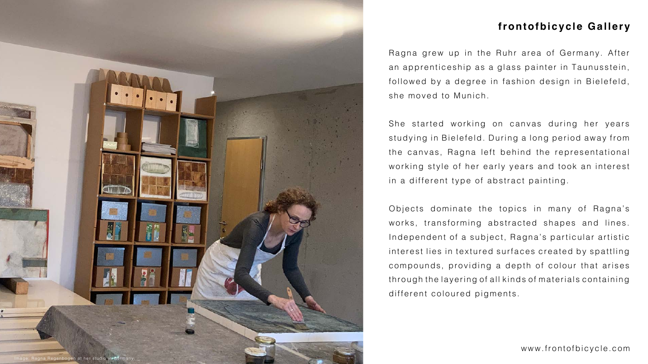Ragna grew up in the Ruhr area of Germany. After an apprenticeship as a glass painter in Taunusstein, followed by a degree in fashion design in Bielefeld, she moved to Munich.

She started working on canvas during her years studying in Bielefeld. During a long period away from the canvas, Ragna left behind the representational working style of her early years and took an interest in a different type of abstract painting.

Objects dominate the topics in many of Ragna's works, transforming abstracted shapes and lines. Independent of a subject, Ragna's particular artistic interest lies in textured surfaces created by spattling compounds, providing a depth of colour that arises through the layering of all kinds of materials containing different coloured pigments.

[www.frontofbicycle.com](http://www.frontofbicycle.com)









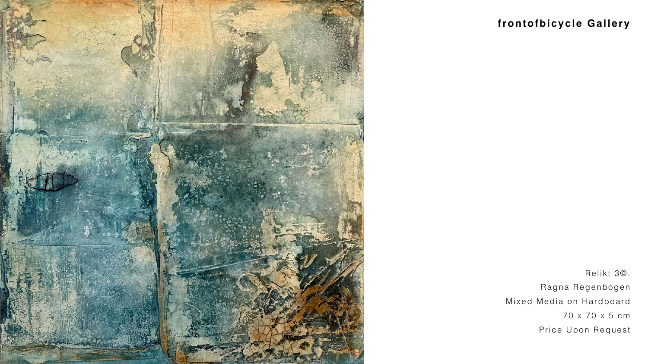Relikt 3©. Ragna Regenbogen Mixed Media on Hardboard 70 x 70 x 5 cm Price Upon Request





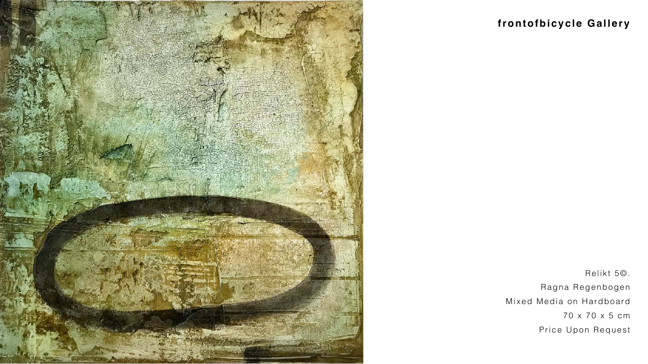Relikt 5©. Ragna Regenbogen Mixed Media on Hardboard 70 x 70 x 5 cm Price Upon Request